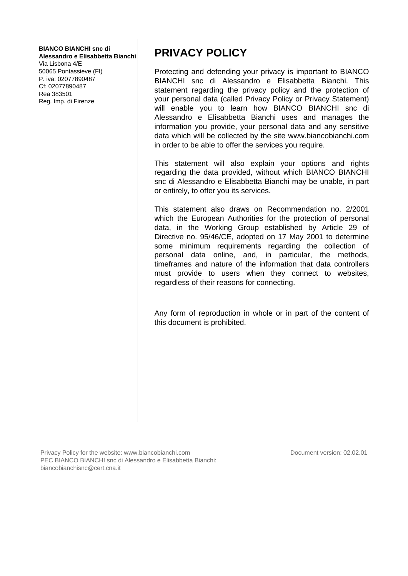#### **BIANCO BIANCHI snc di**

**Alessandro e Elisabbetta Bianchi**

Via Lisbona 4/E 50065 Pontassieve (FI) P. iva: 02077890487 Cf: 02077890487 Rea 383501 Reg. Imp. di Firenze

## **PRIVACY POLICY**

Protecting and defending your privacy is important to BIANCO BIANCHI snc di Alessandro e Elisabbetta Bianchi. This statement regarding the privacy policy and the protection of your personal data (called Privacy Policy or Privacy Statement) will enable you to learn how BIANCO BIANCHI snc di Alessandro e Elisabbetta Bianchi uses and manages the information you provide, your personal data and any sensitive data which will be collected by the site www.biancobianchi.com in order to be able to offer the services you require.

This statement will also explain your options and rights regarding the data provided, without which BIANCO BIANCHI snc di Alessandro e Elisabbetta Bianchi may be unable, in part or entirely, to offer you its services.

This statement also draws on Recommendation no. 2/2001 which the European Authorities for the protection of personal data, in the Working Group established by Article 29 of Directive no. 95/46/CE, adopted on 17 May 2001 to determine some minimum requirements regarding the collection of personal data online, and, in particular, the methods, timeframes and nature of the information that data controllers must provide to users when they connect to websites, regardless of their reasons for connecting.

Any form of reproduction in whole or in part of the content of this document is prohibited.

Privacy Policy for the website: www.biancobianchi.com PEC BIANCO BIANCHI snc di Alessandro e Elisabbetta Bianchi: biancobianchisnc@cert.cna.it

Document version: 02.02.01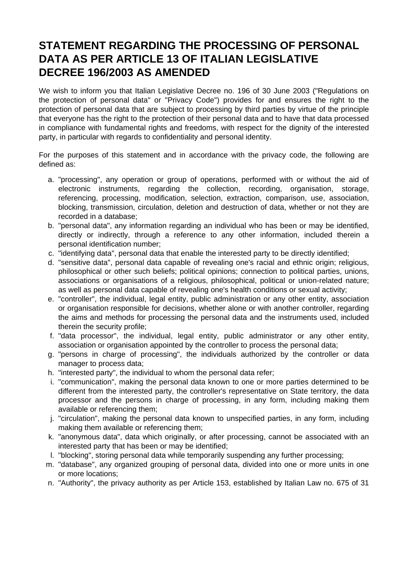#### **STATEMENT REGARDING THE PROCESSING OF PERSONAL DATA AS PER ARTICLE 13 OF ITALIAN LEGISLATIVE DECREE 196/2003 AS AMENDED**

We wish to inform you that Italian Legislative Decree no. 196 of 30 June 2003 ("Regulations on the protection of personal data" or "Privacy Code") provides for and ensures the right to the protection of personal data that are subject to processing by third parties by virtue of the principle that everyone has the right to the protection of their personal data and to have that data processed in compliance with fundamental rights and freedoms, with respect for the dignity of the interested party, in particular with regards to confidentiality and personal identity.

For the purposes of this statement and in accordance with the privacy code, the following are defined as:

- a. "processing", any operation or group of operations, performed with or without the aid of electronic instruments, regarding the collection, recording, organisation, storage, referencing, processing, modification, selection, extraction, comparison, use, association, blocking, transmission, circulation, deletion and destruction of data, whether or not they are recorded in a database;
- b. "personal data", any information regarding an individual who has been or may be identified, directly or indirectly, through a reference to any other information, included therein a personal identification number;
- c. "identifying data", personal data that enable the interested party to be directly identified;
- d. "sensitive data", personal data capable of revealing one's racial and ethnic origin; religious, philosophical or other such beliefs; political opinions; connection to political parties, unions, associations or organisations of a religious, philosophical, political or union-related nature; as well as personal data capable of revealing one's health conditions or sexual activity;
- e. "controller", the individual, legal entity, public administration or any other entity, association or organisation responsible for decisions, whether alone or with another controller, regarding the aims and methods for processing the personal data and the instruments used, included therein the security profile;
- f. "data processor", the individual, legal entity, public administrator or any other entity, association or organisation appointed by the controller to process the personal data;
- g. "persons in charge of processing", the individuals authorized by the controller or data manager to process data;
- h. "interested party", the individual to whom the personal data refer;
- i. "communication", making the personal data known to one or more parties determined to be different from the interested party, the controller's representative on State territory, the data processor and the persons in charge of processing, in any form, including making them available or referencing them;
- j. "circulation", making the personal data known to unspecified parties, in any form, including making them available or referencing them;
- k. "anonymous data", data which originally, or after processing, cannot be associated with an interested party that has been or may be identified;
- l. "blocking", storing personal data while temporarily suspending any further processing;
- m. "database", any organized grouping of personal data, divided into one or more units in one or more locations;
- n. "Authority", the privacy authority as per Article 153, established by Italian Law no. 675 of 31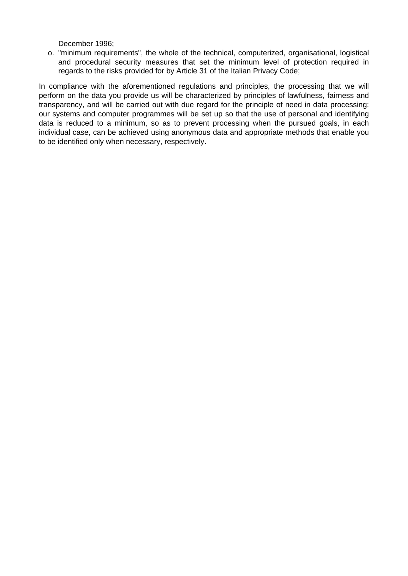December 1996;

o. "minimum requirements", the whole of the technical, computerized, organisational, logistical and procedural security measures that set the minimum level of protection required in regards to the risks provided for by Article 31 of the Italian Privacy Code;

In compliance with the aforementioned regulations and principles, the processing that we will perform on the data you provide us will be characterized by principles of lawfulness, fairness and transparency, and will be carried out with due regard for the principle of need in data processing: our systems and computer programmes will be set up so that the use of personal and identifying data is reduced to a minimum, so as to prevent processing when the pursued goals, in each individual case, can be achieved using anonymous data and appropriate methods that enable you to be identified only when necessary, respectively.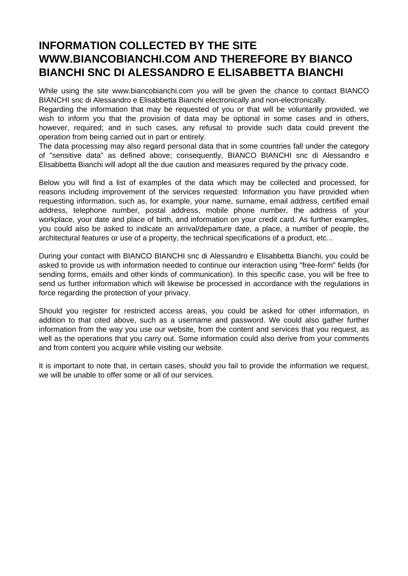#### **INFORMATION COLLECTED BY THE SITE WWW.BIANCOBIANCHI.COM AND THEREFORE BY BIANCO BIANCHI SNC DI ALESSANDRO E ELISABBETTA BIANCHI**

While using the site www.biancobianchi.com you will be given the chance to contact BIANCO BIANCHI snc di Alessandro e Elisabbetta Bianchi electronically and non-electronically.

Regarding the information that may be requested of you or that will be voluntarily provided, we wish to inform you that the provision of data may be optional in some cases and in others, however, required; and in such cases, any refusal to provide such data could prevent the operation from being carried out in part or entirely.

The data processing may also regard personal data that in some countries fall under the category of "sensitive data" as defined above; consequently, BIANCO BIANCHI snc di Alessandro e Elisabbetta Bianchi will adopt all the due caution and measures required by the privacy code.

Below you will find a list of examples of the data which may be collected and processed, for reasons including improvement of the services requested: Information you have provided when requesting information, such as, for example, your name, surname, email address, certified email address, telephone number, postal address, mobile phone number, the address of your workplace, your date and place of birth, and information on your credit card. As further examples, you could also be asked to indicate an arrival/departure date, a place, a number of people, the architectural features or use of a property, the technical specifications of a product, etc...

During your contact with BIANCO BIANCHI snc di Alessandro e Elisabbetta Bianchi, you could be asked to provide us with information needed to continue our interaction using "free-form" fields (for sending forms, emails and other kinds of communication). In this specific case, you will be free to send us further information which will likewise be processed in accordance with the regulations in force regarding the protection of your privacy.

Should you register for restricted access areas, you could be asked for other information, in addition to that cited above, such as a username and password. We could also gather further information from the way you use our website, from the content and services that you request, as well as the operations that you carry out. Some information could also derive from your comments and from content you acquire while visiting our website.

It is important to note that, in certain cases, should you fail to provide the information we request, we will be unable to offer some or all of our services.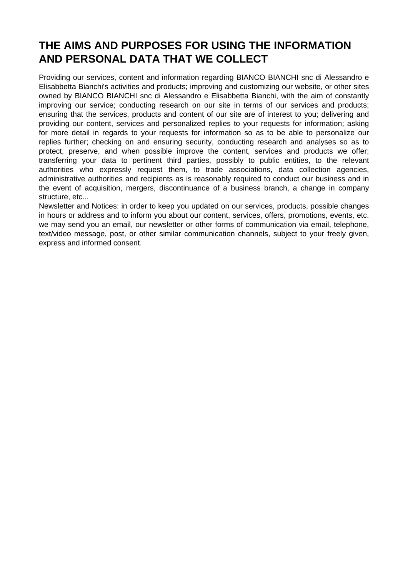## **THE AIMS AND PURPOSES FOR USING THE INFORMATION AND PERSONAL DATA THAT WE COLLECT**

Providing our services, content and information regarding BIANCO BIANCHI snc di Alessandro e Elisabbetta Bianchi's activities and products; improving and customizing our website, or other sites owned by BIANCO BIANCHI snc di Alessandro e Elisabbetta Bianchi, with the aim of constantly improving our service; conducting research on our site in terms of our services and products; ensuring that the services, products and content of our site are of interest to you; delivering and providing our content, services and personalized replies to your requests for information; asking for more detail in regards to your requests for information so as to be able to personalize our replies further; checking on and ensuring security, conducting research and analyses so as to protect, preserve, and when possible improve the content, services and products we offer; transferring your data to pertinent third parties, possibly to public entities, to the relevant authorities who expressly request them, to trade associations, data collection agencies, administrative authorities and recipients as is reasonably required to conduct our business and in the event of acquisition, mergers, discontinuance of a business branch, a change in company structure, etc...

Newsletter and Notices: in order to keep you updated on our services, products, possible changes in hours or address and to inform you about our content, services, offers, promotions, events, etc. we may send you an email, our newsletter or other forms of communication via email, telephone, text/video message, post, or other similar communication channels, subject to your freely given, express and informed consent.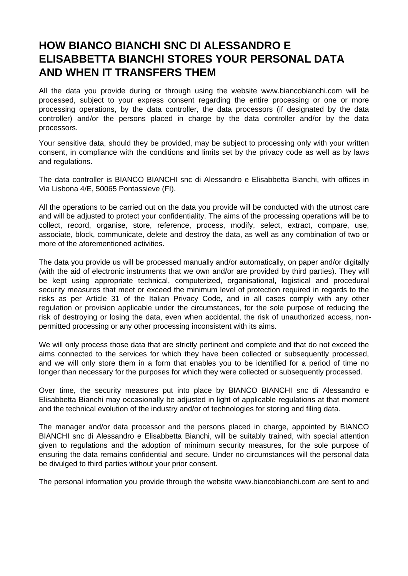#### **HOW BIANCO BIANCHI SNC DI ALESSANDRO E ELISABBETTA BIANCHI STORES YOUR PERSONAL DATA AND WHEN IT TRANSFERS THEM**

All the data you provide during or through using the website www.biancobianchi.com will be processed, subject to your express consent regarding the entire processing or one or more processing operations, by the data controller, the data processors (if designated by the data controller) and/or the persons placed in charge by the data controller and/or by the data processors.

Your sensitive data, should they be provided, may be subject to processing only with your written consent, in compliance with the conditions and limits set by the privacy code as well as by laws and regulations.

The data controller is BIANCO BIANCHI snc di Alessandro e Elisabbetta Bianchi, with offices in Via Lisbona 4/E, 50065 Pontassieve (FI).

All the operations to be carried out on the data you provide will be conducted with the utmost care and will be adjusted to protect your confidentiality. The aims of the processing operations will be to collect, record, organise, store, reference, process, modify, select, extract, compare, use, associate, block, communicate, delete and destroy the data, as well as any combination of two or more of the aforementioned activities.

The data you provide us will be processed manually and/or automatically, on paper and/or digitally (with the aid of electronic instruments that we own and/or are provided by third parties). They will be kept using appropriate technical, computerized, organisational, logistical and procedural security measures that meet or exceed the minimum level of protection required in regards to the risks as per Article 31 of the Italian Privacy Code, and in all cases comply with any other regulation or provision applicable under the circumstances, for the sole purpose of reducing the risk of destroying or losing the data, even when accidental, the risk of unauthorized access, nonpermitted processing or any other processing inconsistent with its aims.

We will only process those data that are strictly pertinent and complete and that do not exceed the aims connected to the services for which they have been collected or subsequently processed, and we will only store them in a form that enables you to be identified for a period of time no longer than necessary for the purposes for which they were collected or subsequently processed.

Over time, the security measures put into place by BIANCO BIANCHI snc di Alessandro e Elisabbetta Bianchi may occasionally be adjusted in light of applicable regulations at that moment and the technical evolution of the industry and/or of technologies for storing and filing data.

The manager and/or data processor and the persons placed in charge, appointed by BIANCO BIANCHI snc di Alessandro e Elisabbetta Bianchi, will be suitably trained, with special attention given to regulations and the adoption of minimum security measures, for the sole purpose of ensuring the data remains confidential and secure. Under no circumstances will the personal data be divulged to third parties without your prior consent.

The personal information you provide through the website www.biancobianchi.com are sent to and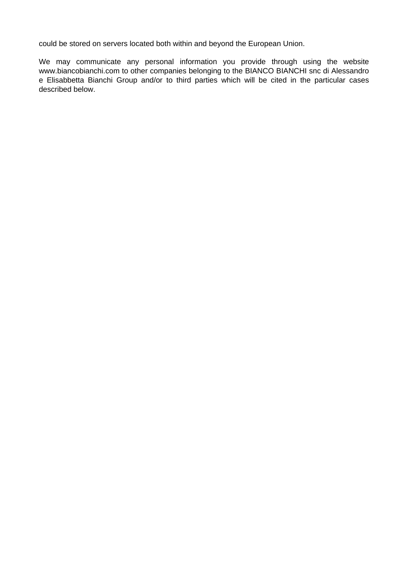could be stored on servers located both within and beyond the European Union.

We may communicate any personal information you provide through using the website www.biancobianchi.com to other companies belonging to the BIANCO BIANCHI snc di Alessandro e Elisabbetta Bianchi Group and/or to third parties which will be cited in the particular cases described below.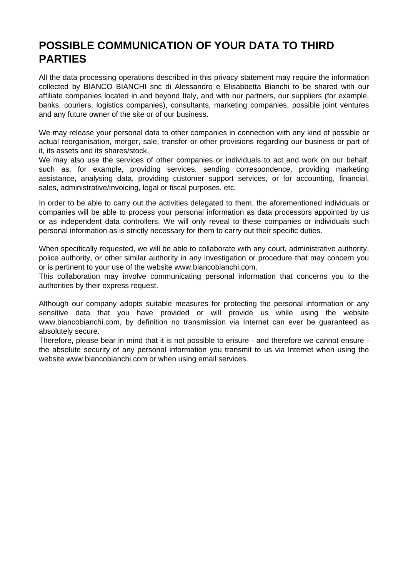### **POSSIBLE COMMUNICATION OF YOUR DATA TO THIRD PARTIES**

All the data processing operations described in this privacy statement may require the information collected by BIANCO BIANCHI snc di Alessandro e Elisabbetta Bianchi to be shared with our affiliate companies located in and beyond Italy, and with our partners, our suppliers (for example, banks, couriers, logistics companies), consultants, marketing companies, possible joint ventures and any future owner of the site or of our business.

We may release your personal data to other companies in connection with any kind of possible or actual reorganisation, merger, sale, transfer or other provisions regarding our business or part of it, its assets and its shares/stock.

We may also use the services of other companies or individuals to act and work on our behalf, such as, for example, providing services, sending correspondence, providing marketing assistance, analysing data, providing customer support services, or for accounting, financial, sales, administrative/invoicing, legal or fiscal purposes, etc.

In order to be able to carry out the activities delegated to them, the aforementioned individuals or companies will be able to process your personal information as data processors appointed by us or as independent data controllers. We will only reveal to these companies or individuals such personal information as is strictly necessary for them to carry out their specific duties.

When specifically requested, we will be able to collaborate with any court, administrative authority, police authority, or other similar authority in any investigation or procedure that may concern you or is pertinent to your use of the website www.biancobianchi.com.

This collaboration may involve communicating personal information that concerns you to the authorities by their express request.

Although our company adopts suitable measures for protecting the personal information or any sensitive data that you have provided or will provide us while using the website www.biancobianchi.com, by definition no transmission via Internet can ever be guaranteed as absolutely secure.

Therefore, please bear in mind that it is not possible to ensure - and therefore we cannot ensure the absolute security of any personal information you transmit to us via Internet when using the website www.biancobianchi.com or when using email services.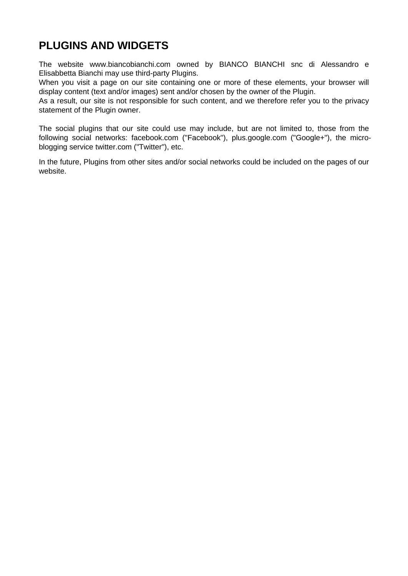## **PLUGINS AND WIDGETS**

The website www.biancobianchi.com owned by BIANCO BIANCHI snc di Alessandro e Elisabbetta Bianchi may use third-party Plugins.

When you visit a page on our site containing one or more of these elements, your browser will display content (text and/or images) sent and/or chosen by the owner of the Plugin.

As a result, our site is not responsible for such content, and we therefore refer you to the privacy statement of the Plugin owner.

The social plugins that our site could use may include, but are not limited to, those from the following social networks: facebook.com ("Facebook"), plus.google.com ("Google+"), the microblogging service twitter.com ("Twitter"), etc.

In the future, Plugins from other sites and/or social networks could be included on the pages of our website.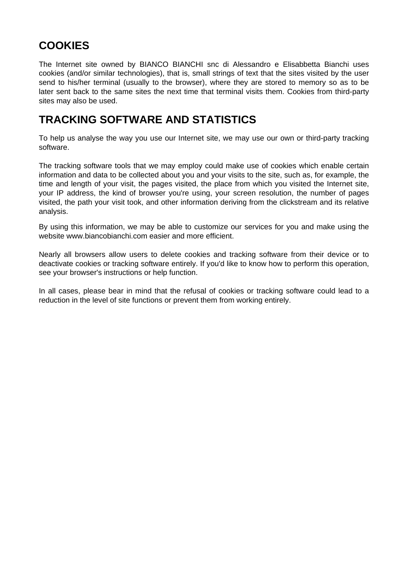# **COOKIES**

The Internet site owned by BIANCO BIANCHI snc di Alessandro e Elisabbetta Bianchi uses cookies (and/or similar technologies), that is, small strings of text that the sites visited by the user send to his/her terminal (usually to the browser), where they are stored to memory so as to be later sent back to the same sites the next time that terminal visits them. Cookies from third-party sites may also be used.

#### **TRACKING SOFTWARE AND STATISTICS**

To help us analyse the way you use our Internet site, we may use our own or third-party tracking software.

The tracking software tools that we may employ could make use of cookies which enable certain information and data to be collected about you and your visits to the site, such as, for example, the time and length of your visit, the pages visited, the place from which you visited the Internet site, your IP address, the kind of browser you're using, your screen resolution, the number of pages visited, the path your visit took, and other information deriving from the clickstream and its relative analysis.

By using this information, we may be able to customize our services for you and make using the website www.biancobianchi.com easier and more efficient.

Nearly all browsers allow users to delete cookies and tracking software from their device or to deactivate cookies or tracking software entirely. If you'd like to know how to perform this operation, see your browser's instructions or help function.

In all cases, please bear in mind that the refusal of cookies or tracking software could lead to a reduction in the level of site functions or prevent them from working entirely.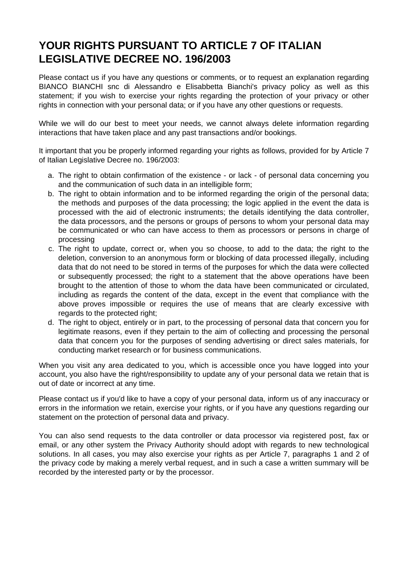## **YOUR RIGHTS PURSUANT TO ARTICLE 7 OF ITALIAN LEGISLATIVE DECREE NO. 196/2003**

Please contact us if you have any questions or comments, or to request an explanation regarding BIANCO BIANCHI snc di Alessandro e Elisabbetta Bianchi's privacy policy as well as this statement; if you wish to exercise your rights regarding the protection of your privacy or other rights in connection with your personal data; or if you have any other questions or requests.

While we will do our best to meet your needs, we cannot always delete information regarding interactions that have taken place and any past transactions and/or bookings.

It important that you be properly informed regarding your rights as follows, provided for by Article 7 of Italian Legislative Decree no. 196/2003:

- a. The right to obtain confirmation of the existence or lack of personal data concerning you and the communication of such data in an intelligible form;
- b. The right to obtain information and to be informed regarding the origin of the personal data; the methods and purposes of the data processing; the logic applied in the event the data is processed with the aid of electronic instruments; the details identifying the data controller, the data processors, and the persons or groups of persons to whom your personal data may be communicated or who can have access to them as processors or persons in charge of processing
- c. The right to update, correct or, when you so choose, to add to the data; the right to the deletion, conversion to an anonymous form or blocking of data processed illegally, including data that do not need to be stored in terms of the purposes for which the data were collected or subsequently processed; the right to a statement that the above operations have been brought to the attention of those to whom the data have been communicated or circulated, including as regards the content of the data, except in the event that compliance with the above proves impossible or requires the use of means that are clearly excessive with regards to the protected right;
- d. The right to object, entirely or in part, to the processing of personal data that concern you for legitimate reasons, even if they pertain to the aim of collecting and processing the personal data that concern you for the purposes of sending advertising or direct sales materials, for conducting market research or for business communications.

When you visit any area dedicated to you, which is accessible once you have logged into your account, you also have the right/responsibility to update any of your personal data we retain that is out of date or incorrect at any time.

Please contact us if you'd like to have a copy of your personal data, inform us of any inaccuracy or errors in the information we retain, exercise your rights, or if you have any questions regarding our statement on the protection of personal data and privacy.

You can also send requests to the data controller or data processor via registered post, fax or email, or any other system the Privacy Authority should adopt with regards to new technological solutions. In all cases, you may also exercise your rights as per Article 7, paragraphs 1 and 2 of the privacy code by making a merely verbal request, and in such a case a written summary will be recorded by the interested party or by the processor.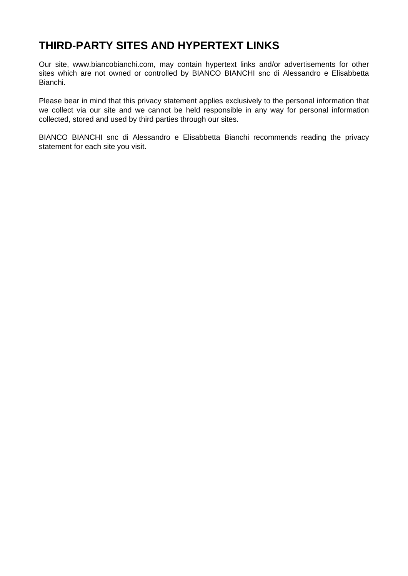### **THIRD-PARTY SITES AND HYPERTEXT LINKS**

Our site, www.biancobianchi.com, may contain hypertext links and/or advertisements for other sites which are not owned or controlled by BIANCO BIANCHI snc di Alessandro e Elisabbetta Bianchi.

Please bear in mind that this privacy statement applies exclusively to the personal information that we collect via our site and we cannot be held responsible in any way for personal information collected, stored and used by third parties through our sites.

BIANCO BIANCHI snc di Alessandro e Elisabbetta Bianchi recommends reading the privacy statement for each site you visit.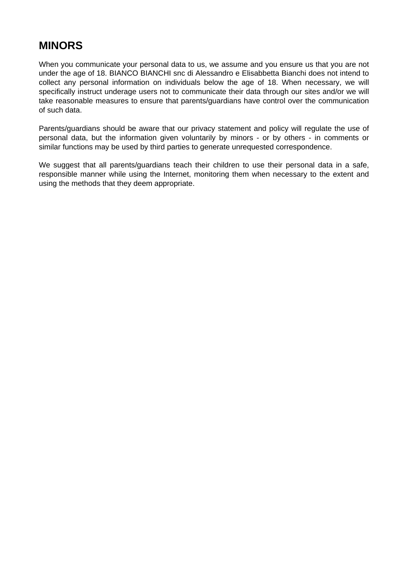## **MINORS**

When you communicate your personal data to us, we assume and you ensure us that you are not under the age of 18. BIANCO BIANCHI snc di Alessandro e Elisabbetta Bianchi does not intend to collect any personal information on individuals below the age of 18. When necessary, we will specifically instruct underage users not to communicate their data through our sites and/or we will take reasonable measures to ensure that parents/guardians have control over the communication of such data.

Parents/guardians should be aware that our privacy statement and policy will regulate the use of personal data, but the information given voluntarily by minors - or by others - in comments or similar functions may be used by third parties to generate unrequested correspondence.

We suggest that all parents/guardians teach their children to use their personal data in a safe, responsible manner while using the Internet, monitoring them when necessary to the extent and using the methods that they deem appropriate.